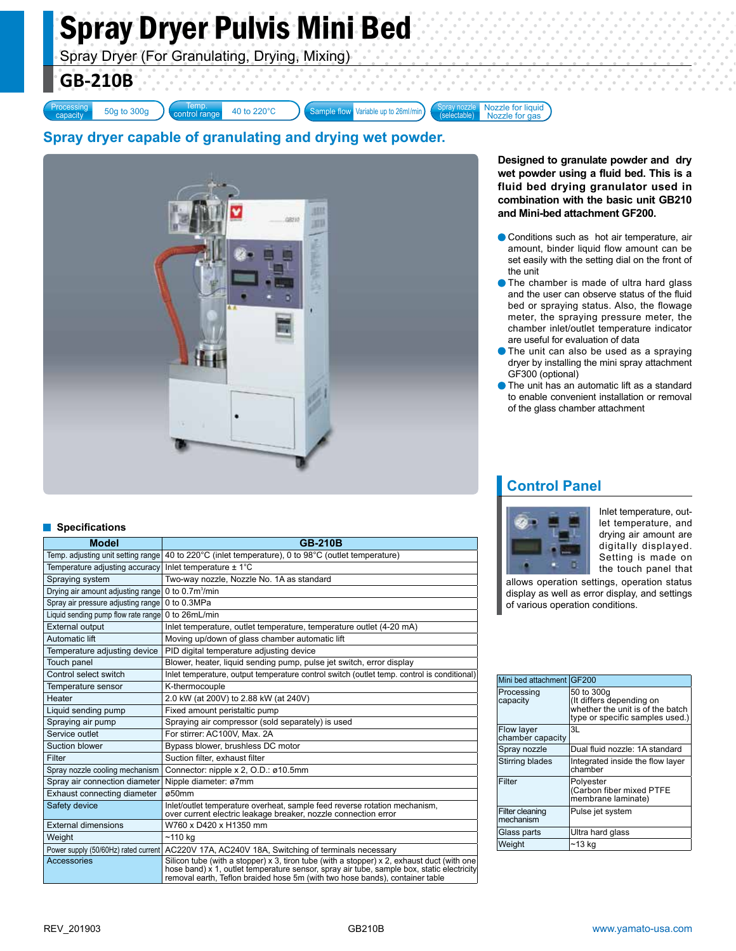# Spray Dryer Pulvis Mini Bed

Spray Dryer (For Granulating, Drying, Mixing)

**GB-210B**

**Processing** 

50g to 300g Control range

40 to 220°C Sample flow Variable up to 26ml/m

(selectable) Nozzle for liquid Nozzle for gas

## **Spray dryer capable of granulating and drying wet powder.**



#### **Specifications**

| <b>PROVINGEDITY</b>                 |                                                                                                                                                                                                                                                                             |  |  |  |  |  |  |
|-------------------------------------|-----------------------------------------------------------------------------------------------------------------------------------------------------------------------------------------------------------------------------------------------------------------------------|--|--|--|--|--|--|
| <b>Model</b>                        | <b>GB-210B</b>                                                                                                                                                                                                                                                              |  |  |  |  |  |  |
| Temp. adjusting unit setting range  | 40 to 220°C (inlet temperature), 0 to 98°C (outlet temperature)                                                                                                                                                                                                             |  |  |  |  |  |  |
| Temperature adjusting accuracy      | Inlet temperature $\pm$ 1°C                                                                                                                                                                                                                                                 |  |  |  |  |  |  |
| Spraying system                     | Two-way nozzle, Nozzle No. 1A as standard                                                                                                                                                                                                                                   |  |  |  |  |  |  |
| Drying air amount adjusting range   | 0 to $0.7m3/min$                                                                                                                                                                                                                                                            |  |  |  |  |  |  |
| Spray air pressure adjusting range  | 0 to 0.3MPa                                                                                                                                                                                                                                                                 |  |  |  |  |  |  |
| Liquid sending pump flow rate range | 0 to 26mL/min                                                                                                                                                                                                                                                               |  |  |  |  |  |  |
| <b>External output</b>              | Inlet temperature, outlet temperature, temperature outlet (4-20 mA)                                                                                                                                                                                                         |  |  |  |  |  |  |
| Automatic lift                      | Moving up/down of glass chamber automatic lift                                                                                                                                                                                                                              |  |  |  |  |  |  |
| Temperature adjusting device        | PID digital temperature adjusting device                                                                                                                                                                                                                                    |  |  |  |  |  |  |
| Touch panel                         | Blower, heater, liquid sending pump, pulse jet switch, error display                                                                                                                                                                                                        |  |  |  |  |  |  |
| Control select switch               | Inlet temperature, output temperature control switch (outlet temp. control is conditional)                                                                                                                                                                                  |  |  |  |  |  |  |
| Temperature sensor                  | K-thermocouple                                                                                                                                                                                                                                                              |  |  |  |  |  |  |
| Heater                              | 2.0 kW (at 200V) to 2.88 kW (at 240V)                                                                                                                                                                                                                                       |  |  |  |  |  |  |
| Liquid sending pump                 | Fixed amount peristaltic pump                                                                                                                                                                                                                                               |  |  |  |  |  |  |
| Spraying air pump                   | Spraying air compressor (sold separately) is used                                                                                                                                                                                                                           |  |  |  |  |  |  |
| Service outlet                      | For stirrer: AC100V, Max. 2A                                                                                                                                                                                                                                                |  |  |  |  |  |  |
| Suction blower                      | Bypass blower, brushless DC motor                                                                                                                                                                                                                                           |  |  |  |  |  |  |
| Filter                              | Suction filter, exhaust filter                                                                                                                                                                                                                                              |  |  |  |  |  |  |
| Spray nozzle cooling mechanism      | Connector: nipple x 2, O.D.: ø10.5mm                                                                                                                                                                                                                                        |  |  |  |  |  |  |
| Spray air connection diameter       | Nipple diameter: ø7mm                                                                                                                                                                                                                                                       |  |  |  |  |  |  |
| Exhaust connecting diameter         | ø50mm                                                                                                                                                                                                                                                                       |  |  |  |  |  |  |
| Safety device                       | Inlet/outlet temperature overheat, sample feed reverse rotation mechanism,<br>over current electric leakage breaker, nozzle connection error                                                                                                                                |  |  |  |  |  |  |
| <b>External dimensions</b>          | W760 x D420 x H1350 mm                                                                                                                                                                                                                                                      |  |  |  |  |  |  |
| Weight                              | $~110$ ka                                                                                                                                                                                                                                                                   |  |  |  |  |  |  |
|                                     | Power supply (50/60Hz) rated current AC220V 17A, AC240V 18A, Switching of terminals necessary                                                                                                                                                                               |  |  |  |  |  |  |
| <b>Accessories</b>                  | Silicon tube (with a stopper) $x$ 3, tiron tube (with a stopper) $x$ 2, exhaust duct (with one<br>hose band) x 1, outlet temperature sensor, spray air tube, sample box, static electricity<br>removal earth, Teflon braided hose 5m (with two hose bands), container table |  |  |  |  |  |  |

**Designed to granulate powder and dry wet powder using a fluid bed. This is a fluid bed drying granulator used in combination with the basic unit GB210 and Mini-bed attachment GF200.** 

- **Conditions such as hot air temperature, air** amount, binder liquid flow amount can be set easily with the setting dial on the front of the unit
- The chamber is made of ultra hard glass and the user can observe status of the fluid bed or spraying status. Also, the flowage meter, the spraying pressure meter, the chamber inlet/outlet temperature indicator are useful for evaluation of data
- The unit can also be used as a spraying dryer by installing the mini spray attachment GF300 (optional)
- The unit has an automatic lift as a standard to enable convenient installation or removal of the glass chamber attachment

#### **Control Panel**



Inlet temperature, outlet temperature, and drying air amount are digitally displayed. Setting is made on the touch panel that

allows operation settings, operation status display as well as error display, and settings of various operation conditions.

| Mini bed attachment IGF200            |                                                                                                               |
|---------------------------------------|---------------------------------------------------------------------------------------------------------------|
| Processing<br>capacity                | 50 to 300g<br>(It differs depending on<br>whether the unit is of the batch<br>type or specific samples used.) |
| <b>Flow layer</b><br>chamber capacity | 3L                                                                                                            |
| Spray nozzle                          | Dual fluid nozzle: 1A standard                                                                                |
| <b>Stirring blades</b>                | Integrated inside the flow layer<br>chamber                                                                   |
| Filter                                | Polyester<br>(Carbon fiber mixed PTFE<br>membrane laminate)                                                   |
| Filter cleaning<br>mechanism          | Pulse jet system                                                                                              |
| Glass parts                           | Ultra hard glass                                                                                              |
| Weight                                | ~13 kg                                                                                                        |